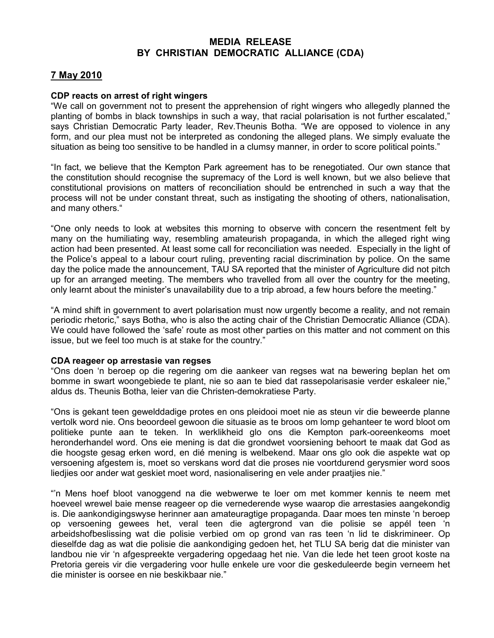## MEDIA RELEASE BY CHRISTIAN DEMOCRATIC ALLIANCE (CDA)

## 7 May 2010

## CDP reacts on arrest of right wingers

"We call on government not to present the apprehension of right wingers who allegedly planned the planting of bombs in black townships in such a way, that racial polarisation is not further escalated," says Christian Democratic Party leader, Rev.Theunis Botha. "We are opposed to violence in any form, and our plea must not be interpreted as condoning the alleged plans. We simply evaluate the situation as being too sensitive to be handled in a clumsy manner, in order to score political points."

"In fact, we believe that the Kempton Park agreement has to be renegotiated. Our own stance that the constitution should recognise the supremacy of the Lord is well known, but we also believe that constitutional provisions on matters of reconciliation should be entrenched in such a way that the process will not be under constant threat, such as instigating the shooting of others, nationalisation, and many others."

"One only needs to look at websites this morning to observe with concern the resentment felt by many on the humiliating way, resembling amateurish propaganda, in which the alleged right wing action had been presented. At least some call for reconciliation was needed. Especially in the light of the Police's appeal to a labour court ruling, preventing racial discrimination by police. On the same day the police made the announcement, TAU SA reported that the minister of Agriculture did not pitch up for an arranged meeting. The members who travelled from all over the country for the meeting, only learnt about the minister's unavailability due to a trip abroad, a few hours before the meeting."

"A mind shift in government to avert polarisation must now urgently become a reality, and not remain periodic rhetoric," says Botha, who is also the acting chair of the Christian Democratic Alliance (CDA). We could have followed the 'safe' route as most other parties on this matter and not comment on this issue, but we feel too much is at stake for the country."

## CDA reageer op arrestasie van regses

"Ons doen 'n beroep op die regering om die aankeer van regses wat na bewering beplan het om bomme in swart woongebiede te plant, nie so aan te bied dat rassepolarisasie verder eskaleer nie," aldus ds. Theunis Botha, leier van die Christen-demokratiese Party.

"Ons is gekant teen gewelddadige protes en ons pleidooi moet nie as steun vir die beweerde planne vertolk word nie. Ons beoordeel gewoon die situasie as te broos om lomp gehanteer te word bloot om politieke punte aan te teken. In werklikheid glo ons die Kempton park-ooreenkeoms moet heronderhandel word. Ons eie mening is dat die grondwet voorsiening behoort te maak dat God as die hoogste gesag erken word, en dié mening is welbekend. Maar ons glo ook die aspekte wat op versoening afgestem is, moet so verskans word dat die proses nie voortdurend gerysmier word soos liedjies oor ander wat geskiet moet word, nasionalisering en vele ander praatjies nie."

"'n Mens hoef bloot vanoggend na die webwerwe te loer om met kommer kennis te neem met hoeveel wrewel baie mense reageer op die vernederende wyse waarop die arrestasies aangekondig is. Die aankondigingswyse herinner aan amateuragtige propaganda. Daar moes ten minste 'n beroep op versoening gewees het, veral teen die agtergrond van die polisie se appél teen 'n arbeidshofbeslissing wat die polisie verbied om op grond van ras teen 'n lid te diskrimineer. Op dieselfde dag as wat die polisie die aankondiging gedoen het, het TLU SA berig dat die minister van landbou nie vir 'n afgespreekte vergadering opgedaag het nie. Van die lede het teen groot koste na Pretoria gereis vir die vergadering voor hulle enkele ure voor die geskeduleerde begin verneem het die minister is oorsee en nie beskikbaar nie."